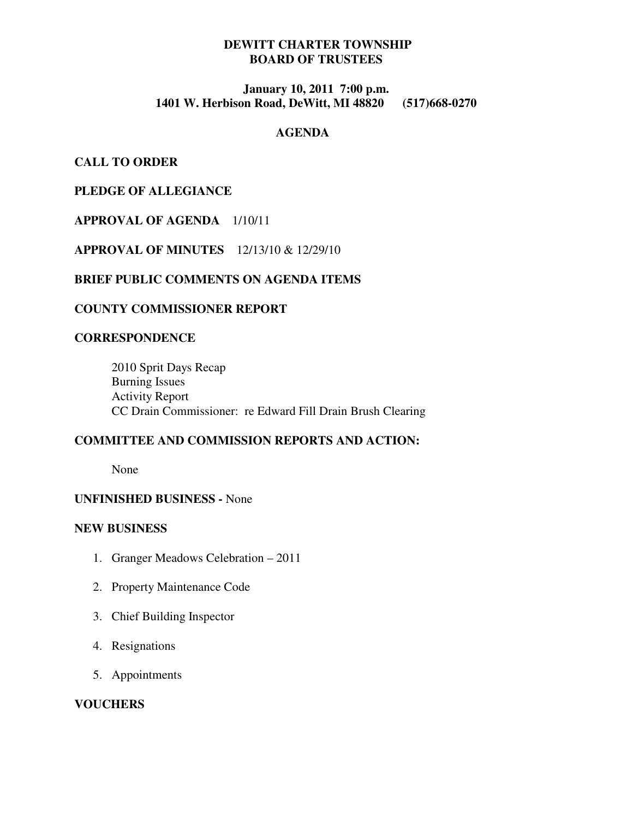# **DEWITT CHARTER TOWNSHIP BOARD OF TRUSTEES**

## **January 10, 2011 7:00 p.m. 1401 W. Herbison Road, DeWitt, MI 48820 (517)668-0270**

## **AGENDA**

**CALL TO ORDER** 

**PLEDGE OF ALLEGIANCE** 

## **APPROVAL OF AGENDA** 1/10/11

**APPROVAL OF MINUTES** 12/13/10 & 12/29/10

#### **BRIEF PUBLIC COMMENTS ON AGENDA ITEMS**

#### **COUNTY COMMISSIONER REPORT**

# **CORRESPONDENCE**

 2010 Sprit Days Recap Burning Issues Activity Report CC Drain Commissioner: re Edward Fill Drain Brush Clearing

## **COMMITTEE AND COMMISSION REPORTS AND ACTION:**

None

#### **UNFINISHED BUSINESS -** None

#### **NEW BUSINESS**

- 1. Granger Meadows Celebration 2011
- 2. Property Maintenance Code
- 3. Chief Building Inspector
- 4. Resignations
- 5. Appointments

### **VOUCHERS**